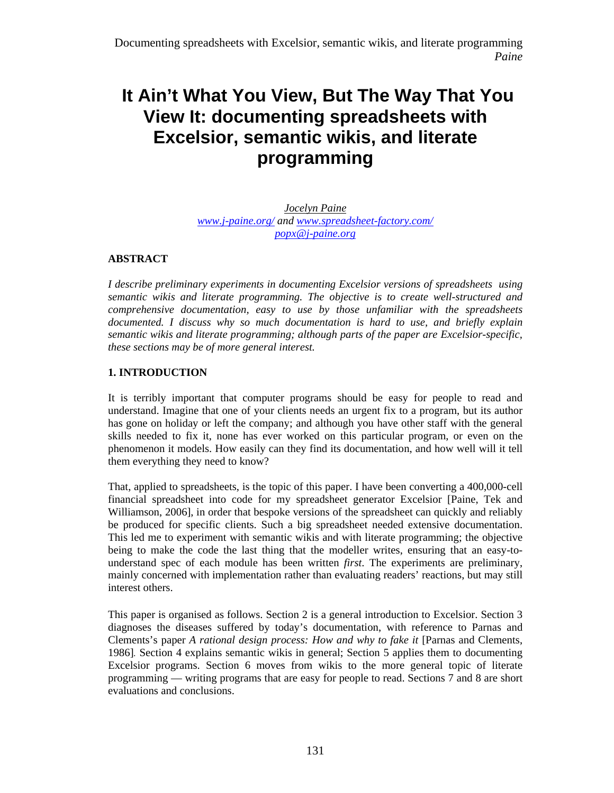# **It Ain't What You View, But The Way That You View It: documenting spreadsheets with Excelsior, semantic wikis, and literate programming**

*Jocelyn Paine [www.j-paine.org/](http://www.j-paine.org/) and [www.spreadsheet-factory.com/](http://www.spreadsheet-factory.com/) [popx@j-paine.org](mailto:popx@j-paine.org)*

## **ABSTRACT**

*I describe preliminary experiments in documenting Excelsior versions of spreadsheets using semantic wikis and literate programming. The objective is to create well-structured and comprehensive documentation, easy to use by those unfamiliar with the spreadsheets documented. I discuss why so much documentation is hard to use, and briefly explain semantic wikis and literate programming; although parts of the paper are Excelsior-specific, these sections may be of more general interest.* 

## **1. INTRODUCTION**

It is terribly important that computer programs should be easy for people to read and understand. Imagine that one of your clients needs an urgent fix to a program, but its author has gone on holiday or left the company; and although you have other staff with the general skills needed to fix it, none has ever worked on this particular program, or even on the phenomenon it models. How easily can they find its documentation, and how well will it tell them everything they need to know?

That, applied to spreadsheets, is the topic of this paper. I have been converting a 400,000-cell financial spreadsheet into code for my spreadsheet generator Excelsior [Paine, Tek and Williamson, 2006], in order that bespoke versions of the spreadsheet can quickly and reliably be produced for specific clients. Such a big spreadsheet needed extensive documentation. This led me to experiment with semantic wikis and with literate programming; the objective being to make the code the last thing that the modeller writes, ensuring that an easy-tounderstand spec of each module has been written *first*. The experiments are preliminary, mainly concerned with implementation rather than evaluating readers' reactions, but may still interest others.

This paper is organised as follows. Section 2 is a general introduction to Excelsior. Section 3 diagnoses the diseases suffered by today's documentation, with reference to Parnas and Clements's paper *A rational design process: How and why to fake it* [Parnas and Clements, 1986]*.* Section 4 explains semantic wikis in general; Section 5 applies them to documenting Excelsior programs. Section 6 moves from wikis to the more general topic of literate programming — writing programs that are easy for people to read. Sections 7 and 8 are short evaluations and conclusions.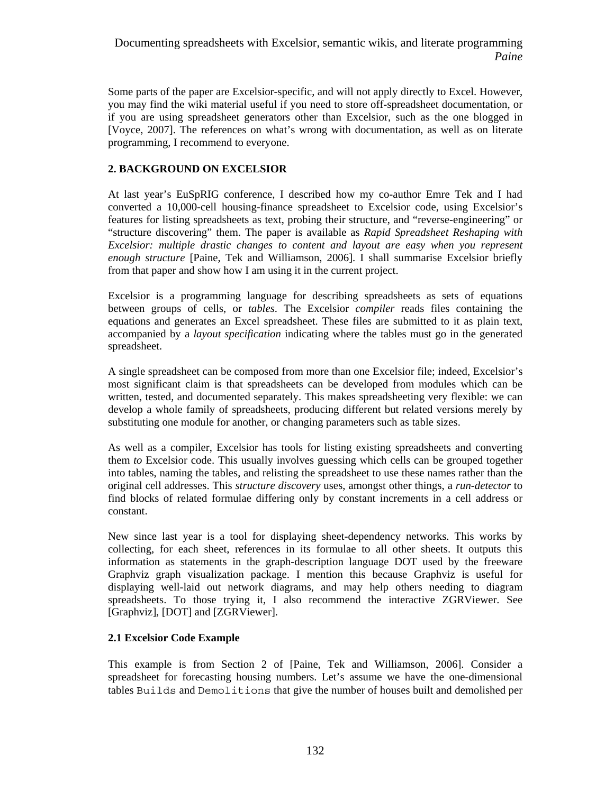Some parts of the paper are Excelsior-specific, and will not apply directly to Excel. However, you may find the wiki material useful if you need to store off-spreadsheet documentation, or if you are using spreadsheet generators other than Excelsior, such as the one blogged in [Voyce, 2007]. The references on what's wrong with documentation, as well as on literate programming, I recommend to everyone.

#### **2. BACKGROUND ON EXCELSIOR**

At last year's EuSpRIG conference, I described how my co-author Emre Tek and I had converted a 10,000-cell housing-finance spreadsheet to Excelsior code, using Excelsior's features for listing spreadsheets as text, probing their structure, and "reverse-engineering" or "structure discovering" them. The paper is available as *Rapid Spreadsheet Reshaping with Excelsior: multiple drastic changes to content and layout are easy when you represent enough structure* [Paine, Tek and Williamson, 2006]. I shall summarise Excelsior briefly from that paper and show how I am using it in the current project.

Excelsior is a programming language for describing spreadsheets as sets of equations between groups of cells, or *tables*. The Excelsior *compiler* reads files containing the equations and generates an Excel spreadsheet. These files are submitted to it as plain text, accompanied by a *layout specification* indicating where the tables must go in the generated spreadsheet.

A single spreadsheet can be composed from more than one Excelsior file; indeed, Excelsior's most significant claim is that spreadsheets can be developed from modules which can be written, tested, and documented separately. This makes spreadsheeting very flexible: we can develop a whole family of spreadsheets, producing different but related versions merely by substituting one module for another, or changing parameters such as table sizes.

As well as a compiler, Excelsior has tools for listing existing spreadsheets and converting them *to* Excelsior code. This usually involves guessing which cells can be grouped together into tables, naming the tables, and relisting the spreadsheet to use these names rather than the original cell addresses. This *structure discovery* uses, amongst other things, a *run-detector* to find blocks of related formulae differing only by constant increments in a cell address or constant.

New since last year is a tool for displaying sheet-dependency networks. This works by collecting, for each sheet, references in its formulae to all other sheets. It outputs this information as statements in the graph-description language DOT used by the freeware Graphviz graph visualization package. I mention this because Graphviz is useful for displaying well-laid out network diagrams, and may help others needing to diagram spreadsheets. To those trying it, I also recommend the interactive ZGRViewer. See [Graphviz], [DOT] and [ZGRViewer].

#### **2.1 Excelsior Code Example**

This example is from Section 2 of [Paine, Tek and Williamson, 2006]. Consider a spreadsheet for forecasting housing numbers. Let's assume we have the one-dimensional tables Builds and Demolitions that give the number of houses built and demolished per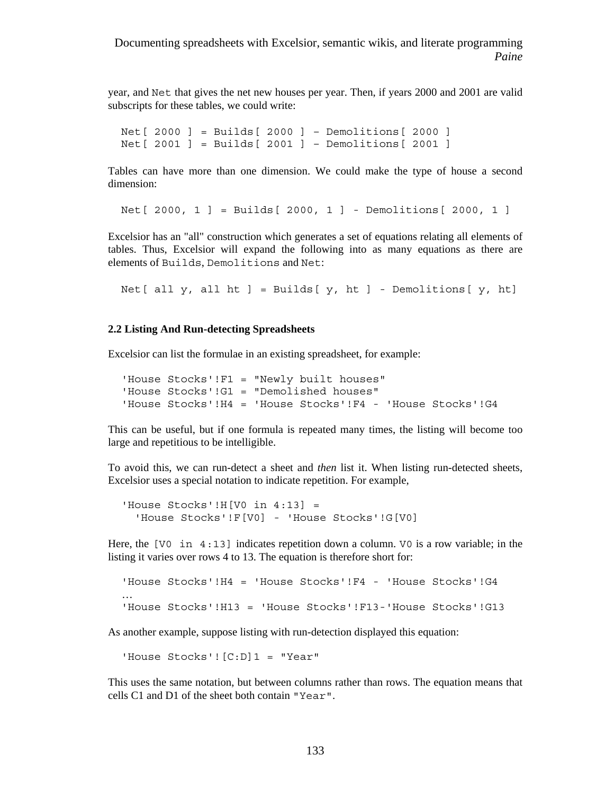year, and Net that gives the net new houses per year. Then, if years 2000 and 2001 are valid subscripts for these tables, we could write:

 Net[ 2000 ] = Builds[ 2000 ] – Demolitions[ 2000 ] Net[ 2001 ] = Builds[ 2001 ] – Demolitions[ 2001 ]

Tables can have more than one dimension. We could make the type of house a second dimension:

Net[ 2000, 1 ] = Builds[ 2000, 1 ] - Demolitions[ 2000, 1 ]

Excelsior has an "all" construction which generates a set of equations relating all elements of tables. Thus, Excelsior will expand the following into as many equations as there are elements of Builds, Demolitions and Net:

Net [ all  $y$ , all  $ht$  ] = Builds [  $y$ ,  $ht$  ] - Demolitions [  $y$ ,  $ht$ ]

#### **2.2 Listing And Run-detecting Spreadsheets**

Excelsior can list the formulae in an existing spreadsheet, for example:

```
 'House Stocks'!F1 = "Newly built houses" 
'House Stocks'!G1 = "Demolished houses" 
'House Stocks'!H4 = 'House Stocks'!F4 - 'House Stocks'!G4
```
This can be useful, but if one formula is repeated many times, the listing will become too large and repetitious to be intelligible.

To avoid this, we can run-detect a sheet and *then* list it. When listing run-detected sheets, Excelsior uses a special notation to indicate repetition. For example,

 'House Stocks'!H[V0 in 4:13] = 'House Stocks'!F[V0] - 'House Stocks'!G[V0]

Here, the  $[*VO*$  in 4:13] indicates repetition down a column.  $\overline{VO}$  is a row variable; in the listing it varies over rows 4 to 13. The equation is therefore short for:

```
 'House Stocks'!H4 = 'House Stocks'!F4 - 'House Stocks'!G4 
… 
  'House Stocks'!H13 = 'House Stocks'!F13-'House Stocks'!G13
```
As another example, suppose listing with run-detection displayed this equation:

'House Stocks'![C:D]1 = "Year"

This uses the same notation, but between columns rather than rows. The equation means that cells C1 and D1 of the sheet both contain "Year".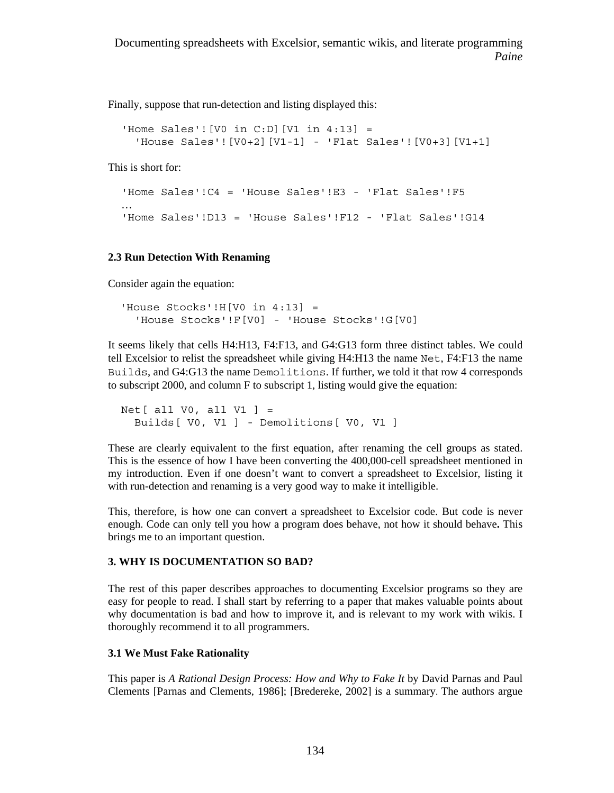Finally, suppose that run-detection and listing displayed this:

```
'Home Sales'! [V0 in C:D] [V1 in 4:13] =
  'House Sales'![V0+2][V1-1] - 'Flat Sales'![V0+3][V1+1]
```
This is short for:

```
 'Home Sales'!C4 = 'House Sales'!E3 - 'Flat Sales'!F5 
… 
  'Home Sales'!D13 = 'House Sales'!F12 - 'Flat Sales'!G14
```
## **2.3 Run Detection With Renaming**

Consider again the equation:

```
 'House Stocks'!H[V0 in 4:13] = 
  'House Stocks'!F[V0] - 'House Stocks'!G[V0]
```
It seems likely that cells H4:H13, F4:F13, and G4:G13 form three distinct tables. We could tell Excelsior to relist the spreadsheet while giving H4:H13 the name Net, F4:F13 the name Builds, and G4:G13 the name Demolitions. If further, we told it that row 4 corresponds to subscript 2000, and column F to subscript 1, listing would give the equation:

```
Net [ all V0, all V1 ] =
  Builds[ V0, V1 ] - Demolitions[ V0, V1 ]
```
These are clearly equivalent to the first equation, after renaming the cell groups as stated. This is the essence of how I have been converting the 400,000-cell spreadsheet mentioned in my introduction. Even if one doesn't want to convert a spreadsheet to Excelsior, listing it with run-detection and renaming is a very good way to make it intelligible.

This, therefore, is how one can convert a spreadsheet to Excelsior code. But code is never enough. Code can only tell you how a program does behave, not how it should behave**.** This brings me to an important question.

## **3. WHY IS DOCUMENTATION SO BAD?**

The rest of this paper describes approaches to documenting Excelsior programs so they are easy for people to read. I shall start by referring to a paper that makes valuable points about why documentation is bad and how to improve it, and is relevant to my work with wikis. I thoroughly recommend it to all programmers.

## **3.1 We Must Fake Rationality**

This paper is *A Rational Design Process: How and Why to Fake It* by David Parnas and Paul Clements [Parnas and Clements, 1986]; [Bredereke, 2002] is a summary. The authors argue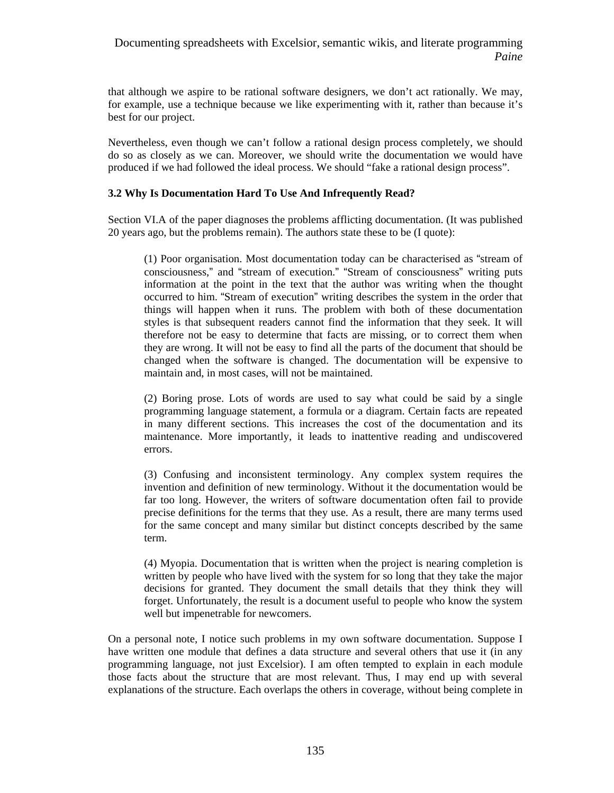that although we aspire to be rational software designers, we don't act rationally. We may, for example, use a technique because we like experimenting with it, rather than because it's best for our project.

Nevertheless, even though we can't follow a rational design process completely, we should do so as closely as we can. Moreover, we should write the documentation we would have produced if we had followed the ideal process. We should "fake a rational design process".

### **3.2 Why Is Documentation Hard To Use And Infrequently Read?**

Section VI.A of the paper diagnoses the problems afflicting documentation. (It was published 20 years ago, but the problems remain). The authors state these to be (I quote):

(1) Poor organisation. Most documentation today can be characterised as "stream of consciousness," and "stream of execution." "Stream of consciousness" writing puts information at the point in the text that the author was writing when the thought occurred to him. "Stream of execution" writing describes the system in the order that things will happen when it runs. The problem with both of these documentation styles is that subsequent readers cannot find the information that they seek. It will therefore not be easy to determine that facts are missing, or to correct them when they are wrong. It will not be easy to find all the parts of the document that should be changed when the software is changed. The documentation will be expensive to maintain and, in most cases, will not be maintained.

(2) Boring prose. Lots of words are used to say what could be said by a single programming language statement, a formula or a diagram. Certain facts are repeated in many different sections. This increases the cost of the documentation and its maintenance. More importantly, it leads to inattentive reading and undiscovered errors.

(3) Confusing and inconsistent terminology. Any complex system requires the invention and definition of new terminology. Without it the documentation would be far too long. However, the writers of software documentation often fail to provide precise definitions for the terms that they use. As a result, there are many terms used for the same concept and many similar but distinct concepts described by the same term.

(4) Myopia. Documentation that is written when the project is nearing completion is written by people who have lived with the system for so long that they take the major decisions for granted. They document the small details that they think they will forget. Unfortunately, the result is a document useful to people who know the system well but impenetrable for newcomers.

On a personal note, I notice such problems in my own software documentation. Suppose I have written one module that defines a data structure and several others that use it (in any programming language, not just Excelsior). I am often tempted to explain in each module those facts about the structure that are most relevant. Thus, I may end up with several explanations of the structure. Each overlaps the others in coverage, without being complete in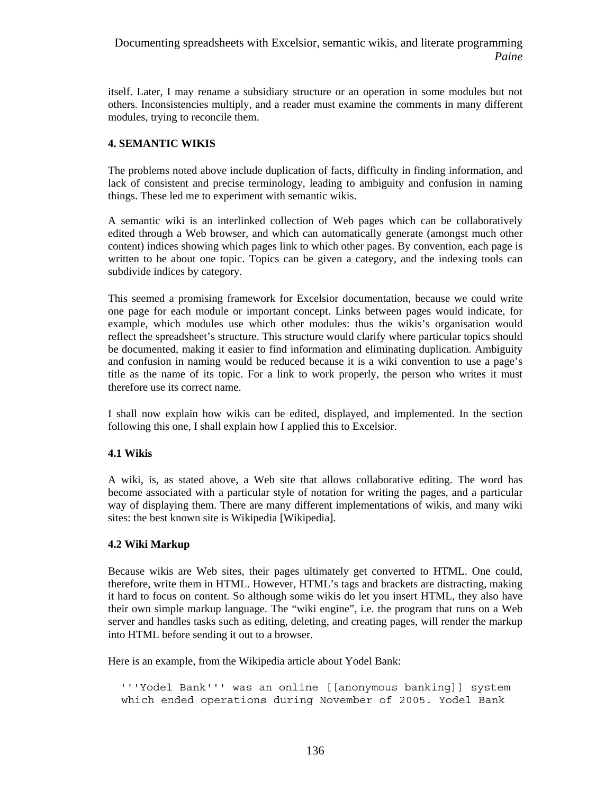itself. Later, I may rename a subsidiary structure or an operation in some modules but not others. Inconsistencies multiply, and a reader must examine the comments in many different modules, trying to reconcile them.

## **4. SEMANTIC WIKIS**

The problems noted above include duplication of facts, difficulty in finding information, and lack of consistent and precise terminology, leading to ambiguity and confusion in naming things. These led me to experiment with semantic wikis.

A semantic wiki is an interlinked collection of Web pages which can be collaboratively edited through a Web browser, and which can automatically generate (amongst much other content) indices showing which pages link to which other pages. By convention, each page is written to be about one topic. Topics can be given a category, and the indexing tools can subdivide indices by category.

This seemed a promising framework for Excelsior documentation, because we could write one page for each module or important concept. Links between pages would indicate, for example, which modules use which other modules: thus the wikis's organisation would reflect the spreadsheet's structure. This structure would clarify where particular topics should be documented, making it easier to find information and eliminating duplication. Ambiguity and confusion in naming would be reduced because it is a wiki convention to use a page's title as the name of its topic. For a link to work properly, the person who writes it must therefore use its correct name.

I shall now explain how wikis can be edited, displayed, and implemented. In the section following this one, I shall explain how I applied this to Excelsior.

## **4.1 Wikis**

A wiki, is, as stated above, a Web site that allows collaborative editing. The word has become associated with a particular style of notation for writing the pages, and a particular way of displaying them. There are many different implementations of wikis, and many wiki sites: the best known site is Wikipedia [Wikipedia].

## **4.2 Wiki Markup**

Because wikis are Web sites, their pages ultimately get converted to HTML. One could, therefore, write them in HTML. However, HTML's tags and brackets are distracting, making it hard to focus on content. So although some wikis do let you insert HTML, they also have their own simple markup language. The "wiki engine", i.e. the program that runs on a Web server and handles tasks such as editing, deleting, and creating pages, will render the markup into HTML before sending it out to a browser.

Here is an example, from the Wikipedia article about Yodel Bank:

 '''Yodel Bank''' was an online [[anonymous banking]] system which ended operations during November of 2005. Yodel Bank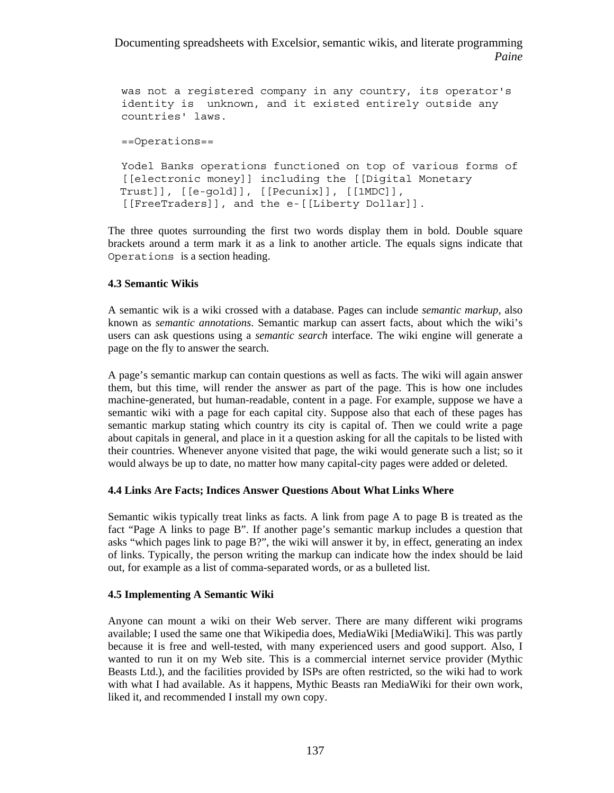was not a registered company in any country, its operator's identity is unknown, and it existed entirely outside any countries' laws.

```
 ==Operations==
```
 Yodel Banks operations functioned on top of various forms of [[electronic money]] including the [[Digital Monetary Trust]], [[e-gold]], [[Pecunix]], [[1MDC]], [[FreeTraders]], and the e-[[Liberty Dollar]].

The three quotes surrounding the first two words display them in bold. Double square brackets around a term mark it as a link to another article. The equals signs indicate that Operations is a section heading.

## **4.3 Semantic Wikis**

A semantic wik is a wiki crossed with a database. Pages can include *semantic markup*, also known as *semantic annotations*. Semantic markup can assert facts, about which the wiki's users can ask questions using a *semantic search* interface. The wiki engine will generate a page on the fly to answer the search.

A page's semantic markup can contain questions as well as facts. The wiki will again answer them, but this time, will render the answer as part of the page. This is how one includes machine-generated, but human-readable, content in a page. For example, suppose we have a semantic wiki with a page for each capital city. Suppose also that each of these pages has semantic markup stating which country its city is capital of. Then we could write a page about capitals in general, and place in it a question asking for all the capitals to be listed with their countries. Whenever anyone visited that page, the wiki would generate such a list; so it would always be up to date, no matter how many capital-city pages were added or deleted.

## **4.4 Links Are Facts; Indices Answer Questions About What Links Where**

Semantic wikis typically treat links as facts. A link from page A to page B is treated as the fact "Page A links to page B". If another page's semantic markup includes a question that asks "which pages link to page B?", the wiki will answer it by, in effect, generating an index of links. Typically, the person writing the markup can indicate how the index should be laid out, for example as a list of comma-separated words, or as a bulleted list.

## **4.5 Implementing A Semantic Wiki**

Anyone can mount a wiki on their Web server. There are many different wiki programs available; I used the same one that Wikipedia does, MediaWiki [MediaWiki]. This was partly because it is free and well-tested, with many experienced users and good support. Also, I wanted to run it on my Web site. This is a commercial internet service provider (Mythic Beasts Ltd.), and the facilities provided by ISPs are often restricted, so the wiki had to work with what I had available. As it happens, Mythic Beasts ran MediaWiki for their own work, liked it, and recommended I install my own copy.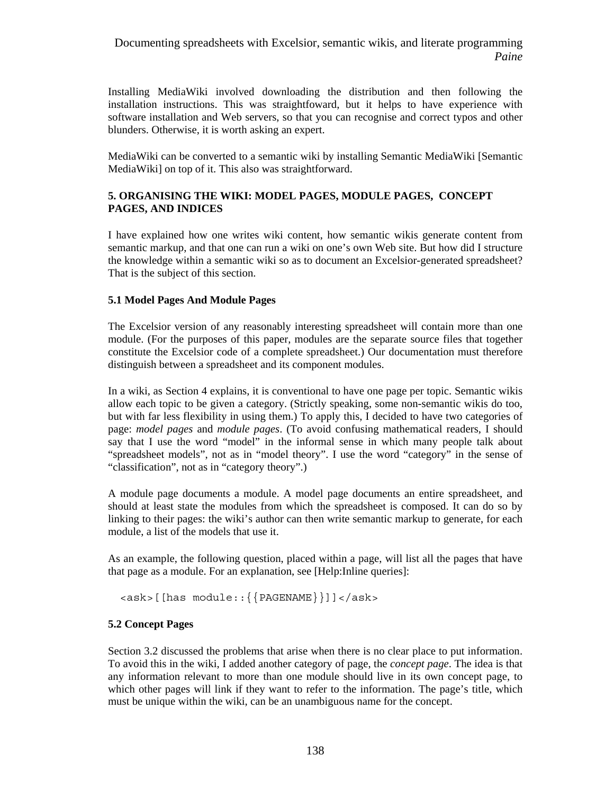Installing MediaWiki involved downloading the distribution and then following the installation instructions. This was straightfoward, but it helps to have experience with software installation and Web servers, so that you can recognise and correct typos and other blunders. Otherwise, it is worth asking an expert.

MediaWiki can be converted to a semantic wiki by installing Semantic MediaWiki [Semantic MediaWiki] on top of it. This also was straightforward.

#### **5. ORGANISING THE WIKI: MODEL PAGES, MODULE PAGES, CONCEPT PAGES, AND INDICES**

I have explained how one writes wiki content, how semantic wikis generate content from semantic markup, and that one can run a wiki on one's own Web site. But how did I structure the knowledge within a semantic wiki so as to document an Excelsior-generated spreadsheet? That is the subject of this section.

#### **5.1 Model Pages And Module Pages**

The Excelsior version of any reasonably interesting spreadsheet will contain more than one module. (For the purposes of this paper, modules are the separate source files that together constitute the Excelsior code of a complete spreadsheet.) Our documentation must therefore distinguish between a spreadsheet and its component modules.

In a wiki, as Section 4 explains, it is conventional to have one page per topic. Semantic wikis allow each topic to be given a category. (Strictly speaking, some non-semantic wikis do too, but with far less flexibility in using them.) To apply this, I decided to have two categories of page: *model pages* and *module pages*. (To avoid confusing mathematical readers, I should say that I use the word "model" in the informal sense in which many people talk about "spreadsheet models", not as in "model theory". I use the word "category" in the sense of "classification", not as in "category theory".)

A module page documents a module. A model page documents an entire spreadsheet, and should at least state the modules from which the spreadsheet is composed. It can do so by linking to their pages: the wiki's author can then write semantic markup to generate, for each module, a list of the models that use it.

As an example, the following question, placed within a page, will list all the pages that have that page as a module. For an explanation, see [Help:Inline queries]:

 $\langle \text{ask}\rangle$  [[has module:: $\{ \text{PAGENAME}\}\}]$ ]  $\langle \text{ask}\rangle$ 

#### **5.2 Concept Pages**

Section 3.2 discussed the problems that arise when there is no clear place to put information. To avoid this in the wiki, I added another category of page, the *concept page*. The idea is that any information relevant to more than one module should live in its own concept page, to which other pages will link if they want to refer to the information. The page's title, which must be unique within the wiki, can be an unambiguous name for the concept.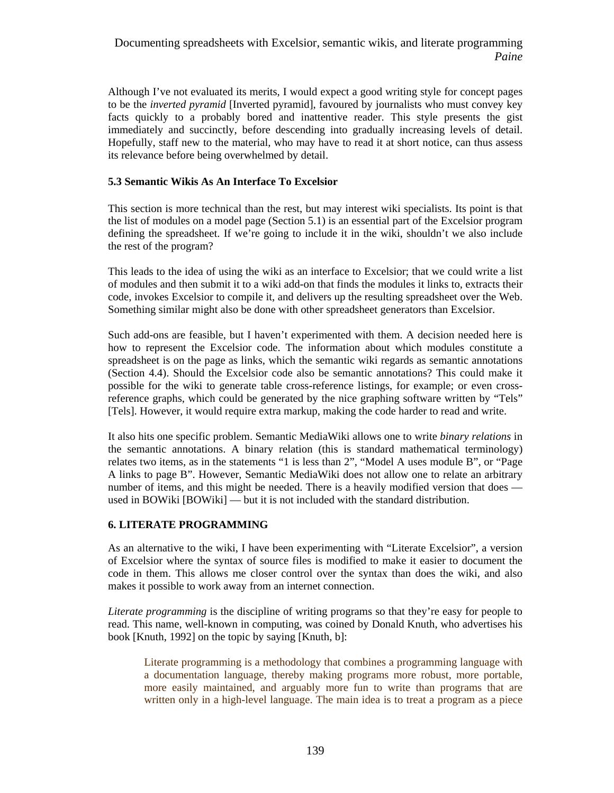Although I've not evaluated its merits, I would expect a good writing style for concept pages to be the *inverted pyramid* [Inverted pyramid], favoured by journalists who must convey key facts quickly to a probably bored and inattentive reader. This style presents the gist immediately and succinctly, before descending into gradually increasing levels of detail. Hopefully, staff new to the material, who may have to read it at short notice, can thus assess its relevance before being overwhelmed by detail.

## **5.3 Semantic Wikis As An Interface To Excelsior**

This section is more technical than the rest, but may interest wiki specialists. Its point is that the list of modules on a model page (Section 5.1) is an essential part of the Excelsior program defining the spreadsheet. If we're going to include it in the wiki, shouldn't we also include the rest of the program?

This leads to the idea of using the wiki as an interface to Excelsior; that we could write a list of modules and then submit it to a wiki add-on that finds the modules it links to, extracts their code, invokes Excelsior to compile it, and delivers up the resulting spreadsheet over the Web. Something similar might also be done with other spreadsheet generators than Excelsior.

Such add-ons are feasible, but I haven't experimented with them. A decision needed here is how to represent the Excelsior code. The information about which modules constitute a spreadsheet is on the page as links, which the semantic wiki regards as semantic annotations (Section 4.4). Should the Excelsior code also be semantic annotations? This could make it possible for the wiki to generate table cross-reference listings, for example; or even crossreference graphs, which could be generated by the nice graphing software written by "Tels" [Tels]. However, it would require extra markup, making the code harder to read and write.

It also hits one specific problem. Semantic MediaWiki allows one to write *binary relations* in the semantic annotations. A binary relation (this is standard mathematical terminology) relates two items, as in the statements "1 is less than 2", "Model A uses module B", or "Page A links to page B". However, Semantic MediaWiki does not allow one to relate an arbitrary number of items, and this might be needed. There is a heavily modified version that does used in BOWiki [BOWiki] — but it is not included with the standard distribution.

## **6. LITERATE PROGRAMMING**

As an alternative to the wiki, I have been experimenting with "Literate Excelsior", a version of Excelsior where the syntax of source files is modified to make it easier to document the code in them. This allows me closer control over the syntax than does the wiki, and also makes it possible to work away from an internet connection.

*Literate programming* is the discipline of writing programs so that they're easy for people to read. This name, well-known in computing, was coined by Donald Knuth, who advertises his book [Knuth, 1992] on the topic by saying [Knuth, b]:

Literate programming is a methodology that combines a programming language with a documentation language, thereby making programs more robust, more portable, more easily maintained, and arguably more fun to write than programs that are written only in a high-level language. The main idea is to treat a program as a piece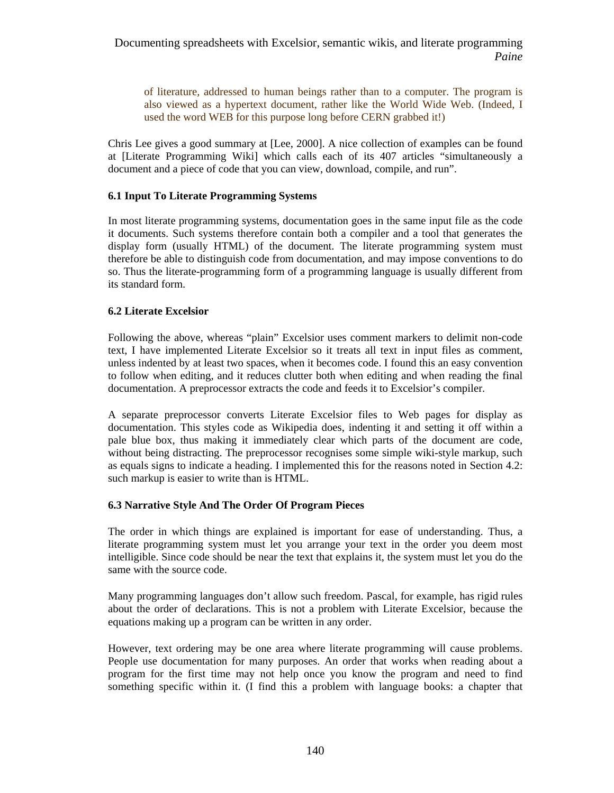of literature, addressed to human beings rather than to a computer. The program is also viewed as a hypertext document, rather like the World Wide Web. (Indeed, I used the word WEB for this purpose long before CERN grabbed it!)

Chris Lee gives a good summary at [Lee, 2000]. A nice collection of examples can be found at [Literate Programming Wiki] which calls each of its 407 articles "simultaneously a document and a piece of code that you can view, download, compile, and run".

## **6.1 Input To Literate Programming Systems**

In most literate programming systems, documentation goes in the same input file as the code it documents. Such systems therefore contain both a compiler and a tool that generates the display form (usually HTML) of the document. The literate programming system must therefore be able to distinguish code from documentation, and may impose conventions to do so. Thus the literate-programming form of a programming language is usually different from its standard form.

## **6.2 Literate Excelsior**

Following the above, whereas "plain" Excelsior uses comment markers to delimit non-code text, I have implemented Literate Excelsior so it treats all text in input files as comment, unless indented by at least two spaces, when it becomes code. I found this an easy convention to follow when editing, and it reduces clutter both when editing and when reading the final documentation. A preprocessor extracts the code and feeds it to Excelsior's compiler.

A separate preprocessor converts Literate Excelsior files to Web pages for display as documentation. This styles code as Wikipedia does, indenting it and setting it off within a pale blue box, thus making it immediately clear which parts of the document are code, without being distracting. The preprocessor recognises some simple wiki-style markup, such as equals signs to indicate a heading. I implemented this for the reasons noted in Section 4.2: such markup is easier to write than is HTML.

## **6.3 Narrative Style And The Order Of Program Pieces**

The order in which things are explained is important for ease of understanding. Thus, a literate programming system must let you arrange your text in the order you deem most intelligible. Since code should be near the text that explains it, the system must let you do the same with the source code.

Many programming languages don't allow such freedom. Pascal, for example, has rigid rules about the order of declarations. This is not a problem with Literate Excelsior, because the equations making up a program can be written in any order.

However, text ordering may be one area where literate programming will cause problems. People use documentation for many purposes. An order that works when reading about a program for the first time may not help once you know the program and need to find something specific within it. (I find this a problem with language books: a chapter that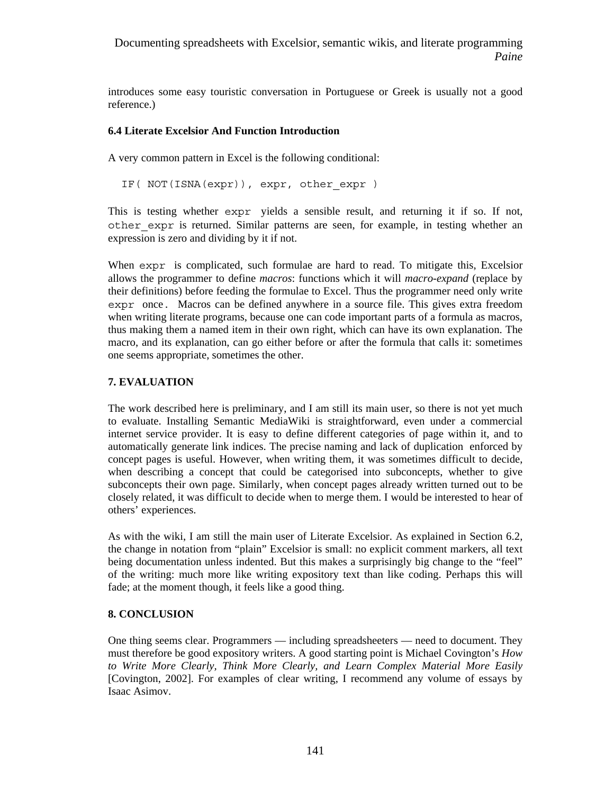introduces some easy touristic conversation in Portuguese or Greek is usually not a good reference.)

### **6.4 Literate Excelsior And Function Introduction**

A very common pattern in Excel is the following conditional:

```
 IF( NOT(ISNA(expr)), expr, other_expr )
```
This is testing whether expr yields a sensible result, and returning it if so. If not, other\_expr is returned. Similar patterns are seen, for example, in testing whether an expression is zero and dividing by it if not.

When expr is complicated, such formulae are hard to read. To mitigate this, Excelsion allows the programmer to define *macros*: functions which it will *macro-expand* (replace by their definitions) before feeding the formulae to Excel. Thus the programmer need only write expr once. Macros can be defined anywhere in a source file. This gives extra freedom when writing literate programs, because one can code important parts of a formula as macros, thus making them a named item in their own right, which can have its own explanation. The macro, and its explanation, can go either before or after the formula that calls it: sometimes one seems appropriate, sometimes the other.

## **7. EVALUATION**

The work described here is preliminary, and I am still its main user, so there is not yet much to evaluate. Installing Semantic MediaWiki is straightforward, even under a commercial internet service provider. It is easy to define different categories of page within it, and to automatically generate link indices. The precise naming and lack of duplication enforced by concept pages is useful. However, when writing them, it was sometimes difficult to decide, when describing a concept that could be categorised into subconcepts, whether to give subconcepts their own page. Similarly, when concept pages already written turned out to be closely related, it was difficult to decide when to merge them. I would be interested to hear of others' experiences.

As with the wiki, I am still the main user of Literate Excelsior. As explained in Section 6.2, the change in notation from "plain" Excelsior is small: no explicit comment markers, all text being documentation unless indented. But this makes a surprisingly big change to the "feel" of the writing: much more like writing expository text than like coding. Perhaps this will fade; at the moment though, it feels like a good thing.

## **8. CONCLUSION**

One thing seems clear. Programmers — including spreadsheeters — need to document. They must therefore be good expository writers. A good starting point is Michael Covington's *How to Write More Clearly, Think More Clearly, and Learn Complex Material More Easily*  [Covington, 2002]. For examples of clear writing, I recommend any volume of essays by **Isaac Asimov.**